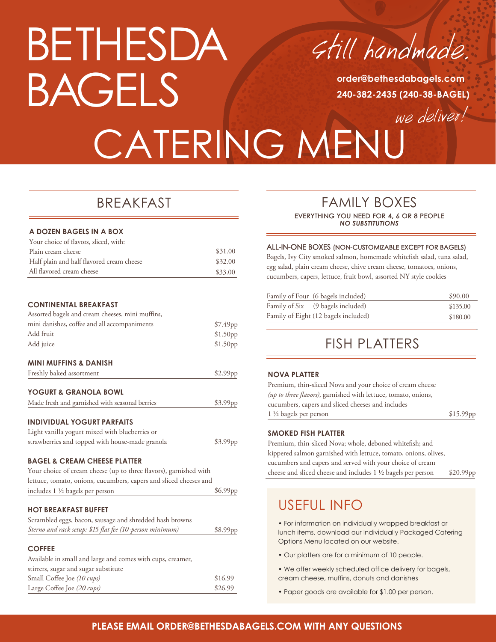# BETHESDA BAGELS

Still handmade.

**order@bethesdabagels.com 240-382-2435 (240-38-BAGEL)**

we deliver! CATERING MENU

## BREAKFAST

| A DOZEN BAGELS IN A BOX                   |         |
|-------------------------------------------|---------|
| Your choice of flavors, sliced, with:     |         |
| Plain cream cheese                        | \$31.00 |
| Half plain and half flavored cream cheese | \$32.00 |
| All flavored cream cheese                 | \$33.00 |

#### **CONTINENTAL BREAKFAST**

| Assorted bagels and cream cheeses, mini muffins,                  |                      |
|-------------------------------------------------------------------|----------------------|
| mini danishes, coffee and all accompaniments                      | \$7.49 <sub>pp</sub> |
| Add fruit                                                         | \$1.50pp             |
| Add juice                                                         | \$1.50pp             |
| <b>MINI MUFFINS &amp; DANISH</b>                                  |                      |
| Freshly baked assortment                                          | \$2.99pp             |
| <b>YOGURT &amp; GRANOLA BOWL</b>                                  |                      |
| Made fresh and garnished with seasonal berries                    | \$3.99pp             |
| <b>INDIVIDUAL YOGURT PARFAITS</b>                                 |                      |
| Light vanilla yogurt mixed with blueberries or                    |                      |
| strawberries and topped with house-made granola                   | \$3.99pp             |
| <b>BAGEL &amp; CREAM CHEESE PLATTER</b>                           |                      |
| Your choice of cream cheese (up to three flavors), garnished with |                      |
| lettuce, tomato, onions, cucumbers, capers and sliced cheeses and |                      |
| includes $1 \frac{1}{2}$ bagels per person                        | \$6.99pp             |

#### **HOT BREAKFAST BUFFET**

| Scrambled eggs, bacon, sausage and shredded hash browns  |                      |
|----------------------------------------------------------|----------------------|
| Sterno and rack setup: \$15 flat fee (10-person minimum) | \$8.99 <sub>pp</sub> |

#### **COFFEE**

| Available in small and large and comes with cups, creamer, |         |
|------------------------------------------------------------|---------|
| stirrers, sugar and sugar substitute                       |         |
| Small Coffee Joe (10 cups)                                 | \$16.99 |
| Large Coffee Joe (20 cups)                                 | \$26.99 |

## FAMILY BOXES EVERYTHING YOU NEED FOR 4, 6 OR 8 PEOPLE *NO SUBSTITUTIONS*

#### ALL-IN-ONE BOXES (NON-CUSTOMIZABLE EXCEPT FOR BAGELS)

Bagels, Ivy City smoked salmon, homemade whitefish salad, tuna salad, egg salad, plain cream cheese, chive cream cheese, tomatoes, onions, cucumbers, capers, lettuce, fruit bowl, assorted NY style cookies

| Family of Four (6 bagels included)   | \$90.00  |
|--------------------------------------|----------|
| Family of Six (9 bagels included)    | \$135.00 |
| Family of Eight (12 bagels included) | \$180.00 |

## FISH PLATTERS

#### **NOVA PLATTER**

| Premium, thin-sliced Nova and your choice of cream cheese      |           |
|----------------------------------------------------------------|-----------|
| (up to three flavors), garnished with lettuce, tomato, onions, |           |
| cucumbers, capers and sliced cheeses and includes              |           |
| $1\frac{1}{2}$ bagels per person                               | \$15.99pp |
|                                                                |           |

#### **SMOKED FISH PLATTER**

Premium, thin-sliced Nova; whole, deboned whitefish; and kippered salmon garnished with lettuce, tomato, onions, olives, cucumbers and capers and served with your choice of cream cheese and sliced cheese and includes 1 1/2 bagels per person \$20.99pp

## USEFUL INFO

• For information on individually wrapped breakfast or lunch items, download our Individually Packaged Catering Options Menu located on our website.

- Our platters are for a minimum of 10 people.
- We offer weekly scheduled office delivery for bagels, cream cheese, muffins, donuts and danishes
- Paper goods are available for \$1.00 per person.